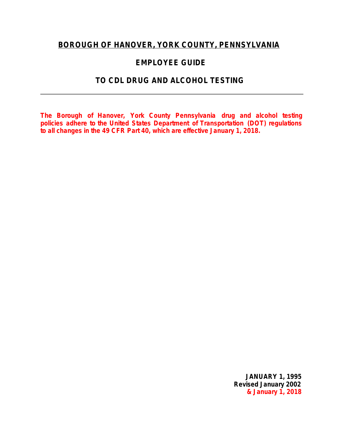# **BOROUGH OF HANOVER, YORK COUNTY, PENNSYLVANIA**

# **EMPLOYEE GUIDE**

# **TO CDL DRUG AND ALCOHOL TESTING**

*The Borough of Hanover, York County Pennsylvania drug and alcohol testing policies adhere to the United States Department of Transportation (DOT) regulations to all changes in the 49 CFR Part 40, which are effective January 1, 2018.*

> **JANUARY 1, 1995 Revised January 2002 & January 1, 2018**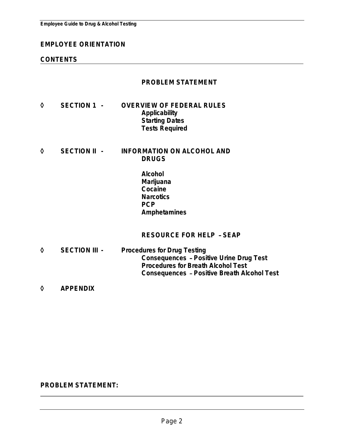### **EMPLOYEE ORIENTATION**

### **CONTENTS**

### **PROBLEM STATEMENT**

- ◊ **SECTION 1 - OVERVIEW OF FEDERAL RULES Applicability Starting Dates Tests Required**
- ◊ **SECTION II - INFORMATION ON ALCOHOL AND DRUGS**
	- **Alcohol Marijuana Cocaine Narcotics PCP Amphetamines**

**RESOURCE FOR HELP** – **SEAP**

- ◊ **SECTION III - Procedures for Drug Testing Consequences** – **Positive Urine Drug Test Procedures for Breath Alcohol Test Consequences** – **Positive Breath Alcohol Test**
- ◊ **APPENDIX**

### **PROBLEM STATEMENT:**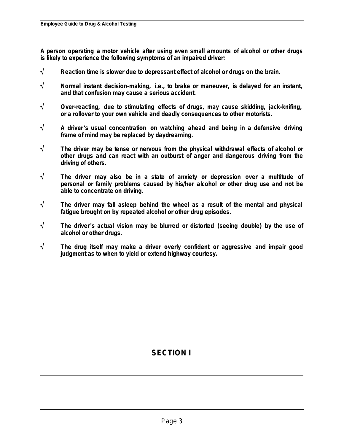**A person operating a motor vehicle after using even small amounts of alcohol or other drugs is likely to experience the following symptoms of an impaired driver:**

- √ **Reaction time is slower due to depressant effect of alcohol or drugs on the brain.**
- √ **Normal instant decision-making, i.e., to brake or maneuver, is delayed for an instant, and that confusion may cause a serious accident.**
- √ **Over-reacting, due to stimulating effects of drugs, may cause skidding, jack-knifing, or a rollover to your own vehicle and deadly consequences to other motorists.**
- √ **A driver**'**s usual concentration on watching ahead and being in a defensive driving frame of mind may be replaced by daydreaming.**
- √ **The driver may be tense or nervous from the physical withdrawal effects of alcohol or other drugs and can react with an outburst of anger and dangerous driving from the driving of others.**
- √ **The driver may also be in a state of anxiety or depression over a multitude of personal or family problems caused by his/her alcohol or other drug use and not be able to concentrate on driving.**
- √ **The driver may fall asleep behind the wheel as a result of the mental and physical fatigue brought on by repeated alcohol or other drug episodes.**
- √ **The driver**'**s actual vision may be blurred or distorted (seeing double) by the use of alcohol or other drugs.**
- √ **The drug itself may make a driver overly confident or aggressive and impair good judgment as to when to yield or extend highway courtesy.**

# **SECTION I**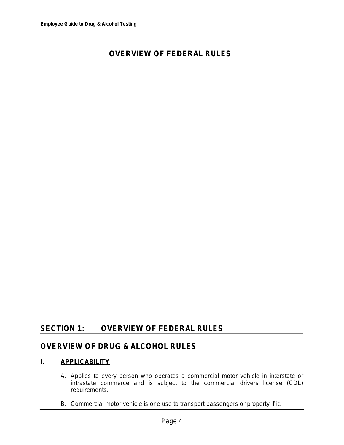# **OVERVIEW OF FEDERAL RULES**

# **SECTION 1: OVERVIEW OF FEDERAL RULES**

# **OVERVIEW OF DRUG & ALCOHOL RULES**

### **I. APPLICABILITY**

- A. Applies to every person who operates a commercial motor vehicle in interstate or intrastate commerce and is subject to the commercial drivers license (CDL) requirements.
- B. Commercial motor vehicle is one use to transport passengers or property if it: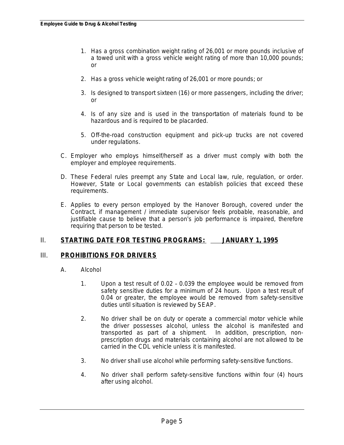- 1. Has a gross combination weight rating of 26,001 or more pounds inclusive of a towed unit with a gross vehicle weight rating of more than 10,000 pounds; or
- 2. Has a gross vehicle weight rating of 26,001 or more pounds; or
- 3. Is designed to transport sixteen (16) or more passengers, including the driver; or
- 4. Is of any size and is used in the transportation of materials found to be hazardous and is required to be placarded.
- 5. Off-the-road construction equipment and pick-up trucks are not covered under regulations.
- C. Employer who employs himself/herself as a driver must comply with both the employer and employee requirements.
- D. These Federal rules preempt any State and Local law, rule, regulation, or order. However, State or Local governments can establish policies that exceed these requirements.
- E. Applies to every person employed by the Hanover Borough, covered under the Contract, if management / immediate supervisor feels probable, reasonable, and justifiable cause to believe that a person's job performance is impaired, therefore requiring that person to be tested.

### II. **STARTING DATE FOR TESTING PROGRAMS: JANUARY 1, 1995**

### III. **PROHIBITIONS FOR DRIVERS**

- A. Alcohol
	- 1. Upon a test result of 0.02 0.039 the employee would be removed from safety sensitive duties for a minimum of 24 hours. Upon a test result of 0.04 or greater, the employee would be removed from safety-sensitive duties until situation is reviewed by SEAP.
	- 2. No driver shall be on duty or operate a commercial motor vehicle while the driver possesses alcohol, unless the alcohol is manifested and transported as part of a shipment. In addition, prescription, nonprescription drugs and materials containing alcohol are not allowed to be carried in the CDL vehicle unless it is manifested.
	- 3. No driver shall use alcohol while performing safety-sensitive functions.
	- 4. No driver shall perform safety-sensitive functions within four (4) hours after using alcohol.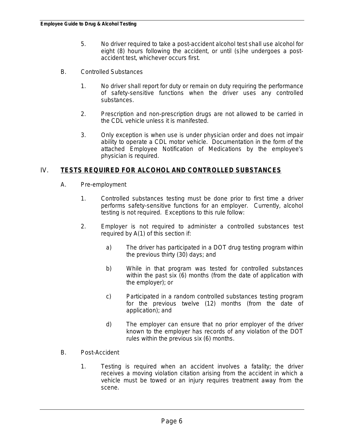- 5. No driver required to take a post-accident alcohol test shall use alcohol for eight (8) hours following the accident, or until (s)he undergoes a postaccident test, whichever occurs first.
- B. Controlled Substances
	- 1. No driver shall report for duty or remain on duty requiring the performance of safety-sensitive functions when the driver uses any controlled substances.
	- 2. Prescription and non-prescription drugs are not allowed to be carried in the CDL vehicle unless it is manifested.
	- 3. Only exception is when use is under physician order and does not impair ability to operate a CDL motor vehicle. Documentation in the form of the attached Employee Notification of Medications by the employee's physician is required.

### IV. **TESTS REQUIRED FOR ALCOHOL AND CONTROLLED SUBSTANCES**

- A. Pre-employment
	- 1. Controlled substances testing must be done prior to first time a driver performs safety-sensitive functions for an employer. Currently, alcohol testing is not required. Exceptions to this rule follow:
	- 2. Employer is not required to administer a controlled substances test required by A(1) of this section if:
		- a) The driver has participated in a DOT drug testing program within the previous thirty (30) days; and
		- b) While in that program was tested for controlled substances within the past six (6) months (from the date of application with the employer); or
		- c) Participated in a random controlled substances testing program for the previous twelve (12) months (from the date of application); and
		- d) The employer can ensure that no prior employer of the driver known to the employer has records of any violation of the DOT rules within the previous six (6) months.
- B. Post-Accident
	- 1. Testing is required when an accident involves a fatality; the driver receives a moving violation citation arising from the accident in which a vehicle must be towed or an injury requires treatment away from the scene.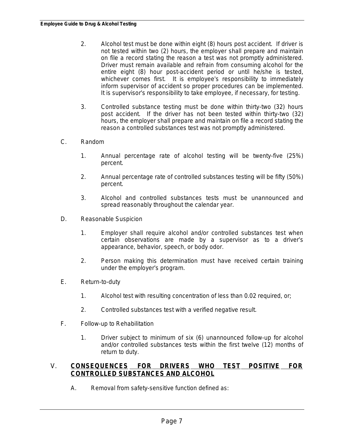- 2. Alcohol test must be done within eight (8) hours post accident. If driver is not tested within two (2) hours, the employer shall prepare and maintain on file a record stating the reason a test was not promptly administered. Driver must remain available and refrain from consuming alcohol for the entire eight (8) hour post-accident period or until he/she is tested, whichever comes first. It is employee's responsibility to immediately inform supervisor of accident so proper procedures can be implemented. It is supervisor's responsibility to take employee, if necessary, for testing.
- 3. Controlled substance testing must be done within thirty-two (32) hours post accident. If the driver has not been tested within thirty-two (32) hours, the employer shall prepare and maintain on file a record stating the reason a controlled substances test was not promptly administered.
- C. Random
	- 1. Annual percentage rate of alcohol testing will be twenty-five (25%) percent.
	- 2. Annual percentage rate of controlled substances testing will be fifty (50%) percent.
	- 3. Alcohol and controlled substances tests must be unannounced and spread reasonably throughout the calendar year.
- D. Reasonable Suspicion
	- 1. Employer shall require alcohol and/or controlled substances test when certain observations are made by a supervisor as to a driver's appearance, behavior, speech, or body odor.
	- 2. Person making this determination must have received certain training under the employer's program.
- E. Return-to-duty
	- 1. Alcohol test with resulting concentration of less than 0.02 required, or;
	- 2. Controlled substances test with a verified negative result.
- F. Follow-up to Rehabilitation
	- 1. Driver subject to minimum of six (6) unannounced follow-up for alcohol and/or controlled substances tests within the first twelve (12) months of return to duty.

### V. **CONSEQUENCES FOR DRIVERS WHO TEST POSITIVE FOR CONTROLLED SUBSTANCES AND ALCOHOL**

A. Removal from safety-sensitive function defined as: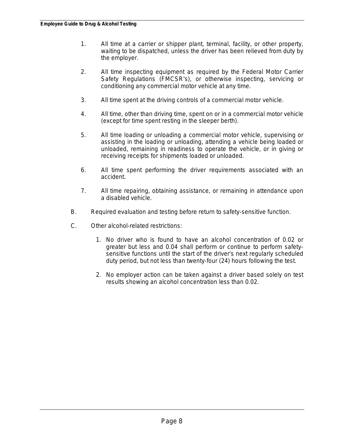- 1. All time at a carrier or shipper plant, terminal, facility, or other property, waiting to be dispatched, unless the driver has been relieved from duty by the employer.
- 2. All time inspecting equipment as required by the Federal Motor Carrier Safety Regulations (FMCSR's), or otherwise inspecting, servicing or conditioning any commercial motor vehicle at any time.
- 3. All time spent at the driving controls of a commercial motor vehicle.
- 4. All time, other than driving time, spent on or in a commercial motor vehicle (except for time spent resting in the sleeper berth).
- 5. All time loading or unloading a commercial motor vehicle, supervising or assisting in the loading or unloading, attending a vehicle being loaded or unloaded, remaining in readiness to operate the vehicle, or in giving or receiving receipts for shipments loaded or unloaded.
- 6. All time spent performing the driver requirements associated with an accident.
- 7. All time repairing, obtaining assistance, or remaining in attendance upon a disabled vehicle.
- B. Required evaluation and testing before return to safety-sensitive function.
- C. Other alcohol-related restrictions:
	- 1. No driver who is found to have an alcohol concentration of 0.02 or greater but less and 0.04 shall perform or continue to perform safetysensitive functions until the start of the driver's next regularly scheduled duty period, but not less than twenty-four (24) hours following the test.
	- 2. No employer action can be taken against a driver based solely on test results showing an alcohol concentration less than 0.02.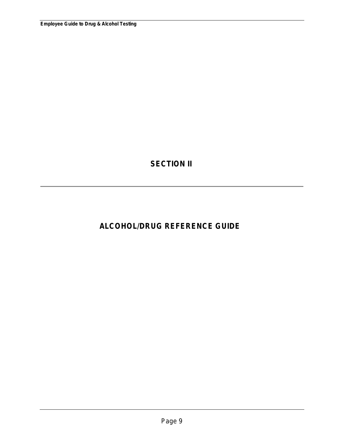**SECTION II**

# **ALCOHOL/DRUG REFERENCE GUIDE**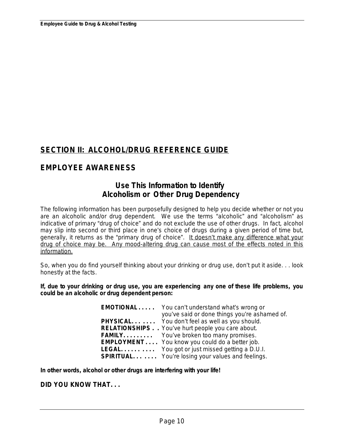# **SECTION II: ALCOHOL/DRUG REFERENCE GUIDE**

# **EMPLOYEE AWARENESS**

# **Use This Information to Identify Alcoholism or Other Drug Dependency**

The following information has been purposefully designed to help you decide whether or not you are an alcoholic and/or drug dependent. We use the terms "alcoholic" and "alcoholism" as indicative of primary "drug of choice" and do not exclude the use of other drugs. In fact, alcohol may slip into second or third place in one's choice of drugs during a given period of time but, generally, it returns as the "primary drug of choice". *It doesn*'*t make any difference what your drug of choice may be. Any mood-altering drug can cause most of the effects noted in this information.*

So, when you do find yourself thinking about your drinking or drug use, don't put it aside. . . look honestly at the facts.

**If, due to your drinking or drug use, you are experiencing any one of these life problems, you could be an alcoholic or drug dependent person:**

| <b>EMOTIONAL</b> You can't understand what's wrong or    |
|----------------------------------------------------------|
| you've said or done things you're ashamed of.            |
| <b>PHYSICAL</b> You don't feel as well as you should.    |
| <b>RELATIONSHIPS.</b> You've hurt people you care about. |
| <b>FAMILY</b> You've broken too many promises.           |
| <b>EMPLOYMENT</b> You know you could do a better job.    |
| <b>LEGAL</b> You got or just missed getting a D.U.I.     |
| <b>SPIRITUAL</b> You're losing your values and feelings. |
|                                                          |

**In other words, alcohol or other drugs are interfering with your life!**

**DID YOU KNOW THAT. . .**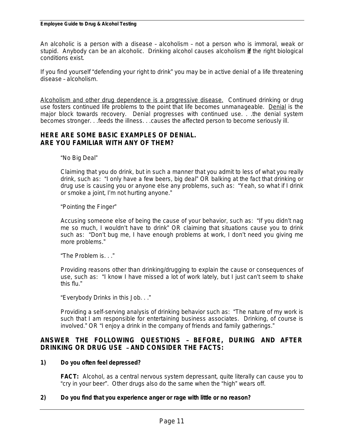An alcoholic is a person with a disease – alcoholism – not a person who is immoral, weak or stupid. Anybody can be an alcoholic. Drinking alcohol causes alcoholism *if* the right biological conditions exist.

If you find yourself "defending your right to drink" you may be in active denial of a life threatening disease – alcoholism.

*Alcoholism and other drug dependence is a progressive disease.* Continued drinking or drug use fosters continued life problems to the point that life becomes unmanageable. *Denial* is the major block towards recovery. Denial progresses with continued use. . .the denial system becomes stronger. . .feeds the illness. . .causes the affected person to become seriously ill.

### **HERE ARE SOME BASIC EXAMPLES OF DENIAL. ARE YOU FAMILIAR WITH ANY OF THEM?**

"No Big Deal"

Claiming that you do drink, but in such a manner that you admit to less of what you really drink, such as: "I only have a few beers, big deal" OR balking at the fact that drinking or drug use is causing you or anyone else any problems, such as: "Yeah, so what if I drink or smoke a joint, I'm not hurting anyone."

"Pointing the Finger"

Accusing someone else of being the cause of your behavior, such as: "If you didn't nag me so much, I wouldn't have to drink" OR claiming that situations cause you to drink such as: "Don't bug me, I have enough problems at work, I don't need you giving me more problems."

"The Problem is. . ."

Providing reasons other than drinking/drugging to explain the cause or consequences of use, such as: "I know I have missed a lot of work lately, but I just can't seem to shake this flu."

"Everybody Drinks in this Job. . ."

Providing a self-serving analysis of drinking behavior such as: "The nature of my work is such that I am responsible for entertaining business associates. Drinking, of course is involved." OR "I enjoy a drink in the company of friends and family gatherings."

### **ANSWER THE FOLLOWING QUESTIONS** – **BEFORE, DURING AND AFTER DRINKING OR DRUG USE** – **AND CONSIDER THE FACTS:**

### **1) Do you often feel depressed?**

**FACT:** Alcohol, as a central nervous system depressant, quite literally can cause you to "cry in your beer". Other drugs also do the same when the "high" wears off.

### **2) Do you find that you experience anger or rage with little or no reason?**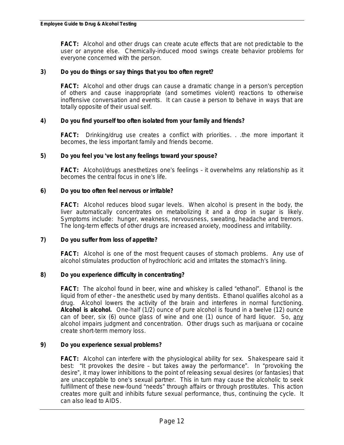**FACT:** Alcohol and other drugs can create acute effects that are not predictable to the user or anyone else. Chemically-induced mood swings create behavior problems for everyone concerned with the person.

### **3) Do you do things or say things that you too often regret?**

**FACT:** Alcohol and other drugs can cause a dramatic change in a person's perception of others and cause inappropriate (and sometimes violent) reactions to otherwise inoffensive conversation and events. It can cause a person to behave in ways that are totally opposite of their usual self.

#### **4) Do you find yourself too often isolated from your family and friends?**

**FACT:** Drinking/drug use creates a conflict with priorities. . .the more important it becomes, the less important family and friends become.

#### **5) Do you feel you** '**ve lost any feelings toward your spouse?**

**FACT:** Alcohol/drugs anesthetizes one's feelings – it overwhelms any relationship as it becomes the central focus in one's life.

#### **6) Do you too often feel nervous or irritable?**

**FACT:** Alcohol reduces blood sugar levels. When alcohol is present in the body, the liver automatically concentrates on metabolizing it and a drop in sugar is likely. Symptoms include: hunger, weakness, nervousness, sweating, headache and tremors. The long-term effects of other drugs are increased anxiety, moodiness and irritability.

#### **7) Do you suffer from loss of appetite?**

**FACT:** Alcohol is one of the most frequent causes of stomach problems. Any use of alcohol stimulates production of hydrochloric acid and irritates the stomach's lining.

#### **8) Do you experience difficulty in concentrating?**

**FACT:** The alcohol found in beer, wine and whiskey is called "ethanol". Ethanol is the liquid from of ether – the anesthetic used by many dentists. Ethanol qualifies alcohol as a drug. Alcohol lowers the activity of the brain and interferes in normal functioning. **Alcohol is alcohol.** One-half (1/2) ounce of pure alcohol is found in a twelve (12) ounce can of beer, six (6) ounce glass of wine and one (1) ounce of hard liquor. So, *any* alcohol impairs judgment and concentration. Other drugs such as marijuana or cocaine create short-term memory loss.

#### **9) Do you experience sexual problems?**

**FACT:** Alcohol can interfere with the physiological ability for sex. Shakespeare said it best: "It provokes the desire – but takes away the performance". In "provoking the desire", it may lower inhibitions to the point of releasing sexual desires (or fantasies) that are unacceptable to one's sexual partner. This in turn may cause the alcoholic to seek fulfillment of these new-found "needs" through affairs or through prostitutes. This action creates more guilt and inhibits future sexual performance, thus, continuing the cycle. It can also lead to AIDS.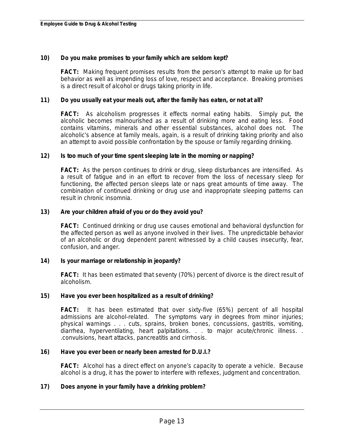### **10) Do you make promises to your family which are seldom kept?**

**FACT:** Making frequent promises results from the person's attempt to make up for bad behavior as well as impending loss of love, respect and acceptance. Breaking promises is a direct result of alcohol or drugs taking priority in life.

#### **11) Do you usually eat your meals out, after the family has eaten, or not at all?**

**FACT:** As alcoholism progresses it effects normal eating habits. Simply put, the alcoholic becomes malnourished as a result of drinking more and eating less. Food contains vitamins, minerals and other essential substances, alcohol does not. The alcoholic's absence at family meals, again, is a result of drinking taking priority and also an attempt to avoid possible confrontation by the spouse or family regarding drinking.

#### **12) Is too much of your time spent sleeping late in the morning or napping?**

**FACT:** As the person continues to drink or drug, sleep disturbances are intensified. As a result of fatigue and in an effort to recover from the loss of necessary sleep for functioning, the affected person sleeps late or naps great amounts of time away. The combination of continued drinking or drug use and inappropriate sleeping patterns can result in chronic insomnia.

#### **13) Are your children afraid of you or do they avoid you?**

**FACT:** Continued drinking or drug use causes emotional and behavioral dysfunction for the affected person as well as anyone involved in their lives. The unpredictable behavior of an alcoholic or drug dependent parent witnessed by a child causes insecurity, fear, confusion, and anger.

### **14) Is your marriage or relationship in jeopardy?**

**FACT:** It has been estimated that seventy (70%) percent of divorce is the direct result of alcoholism.

#### **15) Have you ever been hospitalized as a result of drinking?**

**FACT:** It has been estimated that over sixty-five (65%) percent of all hospital admissions are alcohol-related. The symptoms vary in degrees from minor injuries; physical warnings . . . cuts, sprains, broken bones, concussions, gastritis, vomiting, diarrhea, hyperventilating, heart palpitations. . . to major acute/chronic illness. . .convulsions, heart attacks, pancreatitis and cirrhosis.

#### **16) Have you ever been or nearly been arrested for D.U.I.?**

**FACT:** Alcohol has a direct effect on anyone's capacity to operate a vehicle. Because alcohol is a drug, it has the power to interfere with reflexes, judgment and concentration.

### **17) Does anyone in your family have a drinking problem?**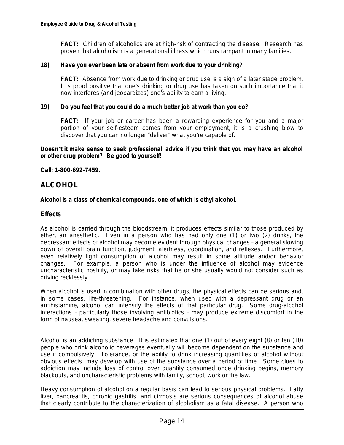**FACT:** Children of alcoholics are at high-risk of contracting the disease. Research has proven that alcoholism is a generational illness which runs rampant in many families.

#### **18) Have you ever been late or absent from work due to your drinking?**

**FACT:** Absence from work due to drinking or drug use is a sign of a later stage problem. It is proof positive that one's drinking or drug use has taken on such importance that it now interferes (and jeopardizes) one's ability to earn a living.

#### **19) Do you feel that you could do a much better job at work than you do?**

**FACT:** If your job or career has been a rewarding experience for you and a major portion of your self-esteem comes from your employment, it is a crushing blow to discover that you can no longer "deliver" what you're capable of.

**Doesn**'**t it make sense to seek professional advice if you think that you may have an alcohol or other drug problem? Be good to yourself!** 

**Call: 1-800-692-7459.**

### **ALCOHOL**

#### **Alcohol is a class of chemical compounds, one of which is ethyl alcohol.**

### **Effects**

As alcohol is carried through the bloodstream, it produces effects similar to those produced by ether, an anesthetic. Even in a person who has had only one (1) or two (2) drinks, the depressant effects of alcohol may become evident through physical changes – a general slowing down of overall brain function, judgment, alertness, coordination, and reflexes. Furthermore, even relatively light consumption of alcohol may result in some attitude and/or behavior changes. For example, a person who is under the influence of alcohol may evidence uncharacteristic hostility, or may take risks that he or she usually would not consider such as *driving recklessly.*

When alcohol is used in combination with other drugs, the physical effects can be serious and, in some cases, life-threatening. For instance, when used with a depressant drug or an antihistamine, alcohol can intensify the effects of that particular drug. Some drug-alcohol interactions – particularly those involving antibiotics – may produce extreme discomfort in the form of nausea, sweating, severe headache and convulsions.

Alcohol is an addicting substance. It is estimated that one (1) out of every eight (8) or ten (10) people who drink alcoholic beverages eventually will become dependent on the substance and use it compulsively. Tolerance, or the ability to drink increasing quantities of alcohol without obvious effects, may develop with use of the substance over a period of time. Some clues to addiction may include loss of control over quantity consumed once drinking begins, memory blackouts, and uncharacteristic problems with family, school, work or the law.

Heavy consumption of alcohol on a regular basis can lead to serious physical problems. Fatty liver, pancreatitis, chronic gastritis, and cirrhosis are serious consequences of alcohol abuse that clearly contribute to the characterization of alcoholism as a fatal disease. A person who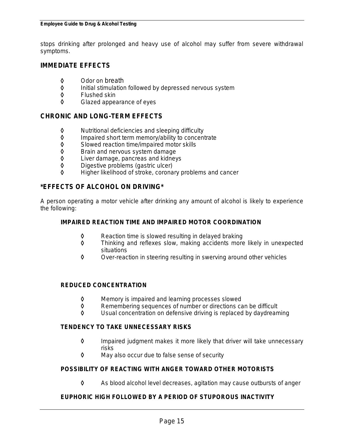stops drinking after prolonged and heavy use of alcohol may suffer from severe withdrawal symptoms.

### **IMMEDIATE EFFECTS**

- ◊ Odor on breath
- ◊ Initial stimulation followed by depressed nervous system
- ◊ Flushed skin
- Glazed appearance of eyes

### **CHRONIC AND LONG-TERM EFFECTS**

- ◊ Nutritional deficiencies and sleeping difficulty
- Impaired short term memory/ability to concentrate
- ◊ Slowed reaction time/impaired motor skills
- **◊** Brain and nervous system damage<br>◊ Liver damage, pancreas and kidney
- Liver damage, pancreas and kidneys
- ◊ Digestive problems (gastric ulcer)
- ◊ Higher likelihood of stroke, coronary problems and cancer

### **\*EFFECTS OF ALCOHOL ON DRIVING\***

A person operating a motor vehicle after drinking any amount of alcohol is likely to experience the following:

#### **IMPAIRED REACTION TIME AND IMPAIRED MOTOR COORDINATION**

- ◊ Reaction time is slowed resulting in delayed braking
- ◊ Thinking and reflexes slow, making accidents more likely in unexpected situations
- ◊ Over-reaction in steering resulting in swerving around other vehicles

### **REDUCED CONCENTRATION**

- ◊ Memory is impaired and learning processes slowed
- ◊ Remembering sequences of number or directions can be difficult
- Usual concentration on defensive driving is replaced by daydreaming

#### **TENDENCY TO TAKE UNNECESSARY RISKS**

- ◊ Impaired judgment makes it more likely that driver will take unnecessary risks
- ◊ May also occur due to false sense of security

### **POSSIBILITY OF REACTING WITH ANGER TOWARD OTHER MOTORISTS**

◊ As blood alcohol level decreases, agitation may cause outbursts of anger

### **EUPHORIC HIGH FOLLOWED BY A PERIOD OF STUPOROUS INACTIVITY**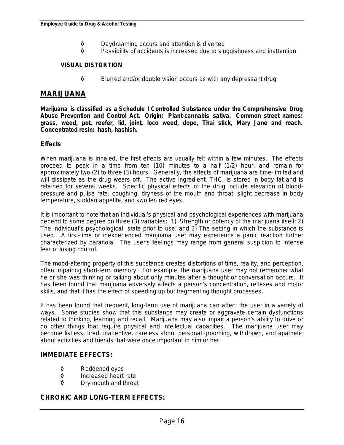- ◊ Daydreaming occurs and attention is diverted
- ◊ Possibility of accidents is increased due to sluggishness and inattention

### **VISUAL DISTORTION**

◊ Blurred and/or double vision occurs as with any depressant drug

### **MARIJUANA**

**Marijuana is classified as a Schedule I Controlled Substance under the Comprehensive Drug Abuse Prevention and Control Act. Origin: Plant-cannabis sativa. Common street names: grass, weed, pot, reefer, lid, joint, loco weed, dope, Thai stick, Mary Jane and roach. Concentrated resin: hash, hashish.**

### **Effects**

When marijuana is inhaled, the first effects are usually felt within a few minutes. The effects proceed to peak in a time from ten (10) minutes to a half (1/2) hour, and remain for approximately two (2) to three (3) hours. Generally, the effects of marijuana are time-limited and will dissipate as the drug wears off. The active ingredient, THC, is stored in body fat and is retained for several weeks. Specific physical effects of the drug include elevation of bloodpressure and pulse rate, coughing, dryness of the mouth and throat, slight decrease in body temperature, sudden appetite, and swollen red eyes.

It is important to note that an individual's physical and psychological experiences with marijuana depend to some degree on three (3) variables: 1) Strength or potency of the marijuana itself; 2) The individual's psychological state prior to use; and 3) The setting in which the substance is used. A first-time or inexperienced marijuana user may experience a panic reaction further characterized by paranoia. The user's feelings may range from general suspicion to intense fear of losing control.

The mood-altering property of this substance creates distortions of time, reality, and perception, often impairing short-term memory. For example, the marijuana user may not remember what he or she was thinking or talking about only minutes after a thought or conversation occurs. It has been found that marijuana adversely affects a person's concentration, reflexes and motor skills, and that it has the effect of speeding up but fragmenting thought processes.

It has been found that frequent, long-term use of marijuana can affect the user in a variety of ways. Some studies show that this substance may create or aggravate certain dysfunctions related to thinking, learning and recall. *Marijuana may also impair a person*'*s ability to drive* or do other things that require physical and intellectual capacities. The marijuana user may become listless, tired, inattentive, careless about personal grooming, withdrawn, and apathetic about activities and friends that were once important to him or her.

### **IMMEDIATE EFFECTS:**

- ◊ Reddened eyes
- ◊ Increased heart rate
- ◊ Dry mouth and throat

### **CHRONIC AND LONG-TERM EFFECTS:**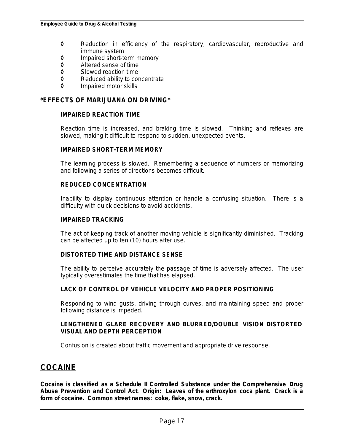- ◊ Reduction in efficiency of the respiratory, cardiovascular, reproductive and immune system
- **◊** Impaired short-term memory<br>◊ Altered sense of time
- Altered sense of time
- ◊ Slowed reaction time
- Reduced ability to concentrate
- ◊ Impaired motor skills

### **\*EFFECTS OF MARIJUANA ON DRIVING\***

### **IMPAIRED REACTION TIME**

Reaction time is increased, and braking time is slowed. Thinking and reflexes are slowed, making it difficult to respond to sudden, unexpected events.

### **IMPAIRED SHORT-TERM MEMORY**

The learning process is slowed. Remembering a sequence of numbers or memorizing and following a series of directions becomes difficult.

#### **REDUCED CONCENTRATION**

Inability to display continuous attention or handle a confusing situation. There is a difficulty with quick decisions to avoid accidents.

#### **IMPAIRED TRACKING**

The act of keeping track of another moving vehicle is significantly diminished. Tracking can be affected up to ten (10) hours after use.

### **DISTORTED TIME AND DISTANCE SENSE**

The ability to perceive accurately the passage of time is adversely affected. The user typically overestimates the time that has elapsed.

### **LACK OF CONTROL OF VEHICLE VELOCITY AND PROPER POSITIONING**

Responding to wind gusts, driving through curves, and maintaining speed and proper following distance is impeded.

#### **LENGTHENED GLARE RECOVERY AND BLURRED/DOUBLE VISION DISTORTED VISUAL AND DEPTH PERCEPTION**

Confusion is created about traffic movement and appropriate drive response.

# **COCAINE**

**Cocaine is classified as a Schedule II Controlled Substance under the Comprehensive Drug Abuse Prevention and Control Act. Origin: Leaves of the erthroxylon coca plant. Crack is a form of cocaine. Common street names: coke, flake, snow, crack.**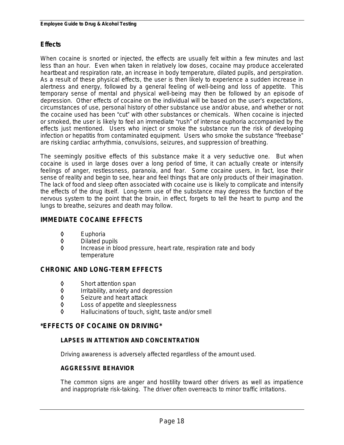### **Effects**

When cocaine is snorted or injected, the effects are usually felt within a few minutes and last less than an hour. Even when taken in relatively low doses, cocaine may produce accelerated heartbeat and respiration rate, an increase in body temperature, dilated pupils, and perspiration. As a result of these physical effects, the user is then likely to experience a sudden increase in alertness and energy, followed by a general feeling of well-being and loss of appetite. This temporary sense of mental and physical well-being may then be followed by an episode of depression. Other effects of cocaine on the individual will be based on the user's expectations, circumstances of use, personal history of other substance use and/or abuse, and whether or not the cocaine used has been "cut" with other substances or chemicals. When cocaine is injected or smoked, the user is likely to feel an immediate "rush" of intense euphoria accompanied by the effects just mentioned. Users who inject or smoke the substance run the risk of developing infection or hepatitis from contaminated equipment. Users who smoke the substance "freebase" are risking cardiac arrhythmia, convulsions, seizures, and suppression of breathing.

The seemingly positive effects of this substance make it a very seductive one. But when cocaine is used in large doses over a long period of time, it can actually create or intensify feelings of anger, restlessness, paranoia, and fear. Some cocaine users, in fact, lose their sense of reality and begin to see, hear and feel things that are only products of their imagination. The lack of food and sleep often associated with cocaine use is likely to complicate and intensify the effects of the drug itself. Long-term use of the substance may depress the function of the nervous system to the point that the brain, in effect, forgets to tell the heart to pump and the lungs to breathe, seizures and death may follow.

### **IMMEDIATE COCAINE EFFECTS**

- ◊ Euphoria
- ◊ Dilated pupils
- Increase in blood pressure, heart rate, respiration rate and body temperature

### **CHRONIC AND LONG-TERM EFFECTS**

- ◊ Short attention span
- ◊ Irritability, anxiety and depression
- Seizure and heart attack
- ◊ Loss of appetite and sleeplessness
- ◊ Hallucinations of touch, sight, taste and/or smell

### **\*EFFECTS OF COCAINE ON DRIVING\***

### **LAPSES IN ATTENTION AND CONCENTRATION**

Driving awareness is adversely affected regardless of the amount used.

### **AGGRESSIVE BEHAVIOR**

The common signs are anger and hostility toward other drivers as well as impatience and inappropriate risk-taking. The driver often overreacts to minor traffic irritations.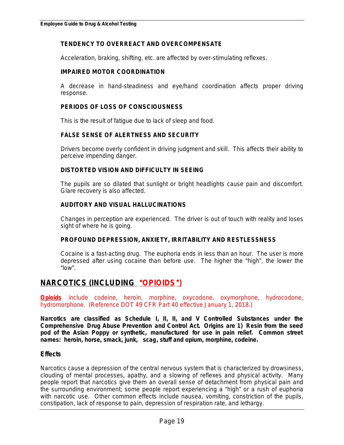### **TENDENCY TO OVERREACT AND OVERCOMPENSATE**

Acceleration, braking, shifting, etc. are affected by over-stimulating reflexes.

### **IMPAIRED MOTOR COORDINATION**

A decrease in hand-steadiness and eye/hand coordination affects proper driving response.

### **PERIODS OF LOSS OF CONSCIOUSNESS**

This is the result of fatigue due to lack of sleep and food.

### **FALSE SENSE OF ALERTNESS AND SECURITY**

Drivers become overly confident in driving judgment and skill. This affects their ability to perceive impending danger.

### **DISTORTED VISION AND DIFFICULTY IN SEEING**

The pupils are so dilated that sunlight or bright headlights cause pain and discomfort. Glare recovery is also affected.

### **AUDITORY AND VISUAL HALLUCINATIONS**

Changes in perception are experienced. The driver is out of touch with reality and loses sight of where he is going.

### **PROFOUND DEPRESSION, ANXIETY, IRRITABILITY AND RESTLESSNESS**

Cocaine is a fast-acting drug. The euphoria ends in less than an hour. The user is more depressed after using cocaine than before use. The higher the "high", the lower the " $low$ ".

# **NARCOTICS (INCLUDING** "**OPIOIDS**"**)**

*Opioids include codeine, heroin, morphine, oxycodone, oxymorphone, hydrocodone, hydromorphone.**(Reference DOT 49 CFR Part 40 effective January 1, 2018.)*

**Narcotics are classified as Schedule I, II, II, and V Controlled Substances under the Comprehensive Drug Abuse Prevention and Control Act. Origins are 1) Resin from the seed pod of the Asian Poppy or synthetic, manufactured for use in pain relief. Common street names: heroin, horse, smack, junk, scag, stuff and opium, morphine, codeine.**

### **Effects**

Narcotics cause a depression of the central nervous system that is characterized by drowsiness, clouding of mental processes, apathy, and a slowing of reflexes and physical activity. Many people report that narcotics give them an overall sense of detachment from physical pain and the surrounding environment; some people report experiencing a "high" or a rush of euphoria with narcotic use. Other common effects include nausea, vomiting, constriction of the pupils, constipation, lack of response to pain, depression of respiration rate, and lethargy.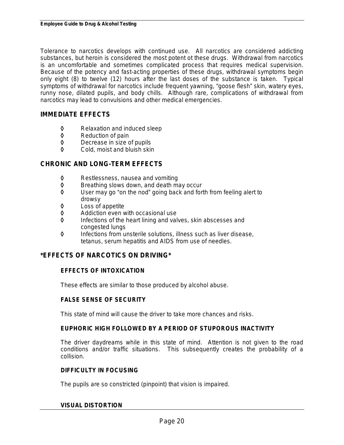Tolerance to narcotics develops with continued use. All narcotics are considered addicting substances, but heroin is considered the most potent ot these drugs. Withdrawal from narcotics is an uncomfortable and sometimes complicated process that requires medical supervision. Because of the potency and fast-acting properties of these drugs, withdrawal symptoms begin only eight (8) to twelve (12) hours after the last doses of the substance is taken. Typical symptoms of withdrawal for narcotics include frequent yawning, "goose flesh" skin, watery eyes, runny nose, dilated pupils, and body chills. Although rare, complications of withdrawal from narcotics may lead to convulsions and other medical emergencies.

### **IMMEDIATE EFFECTS**

- ◊ Relaxation and induced sleep
- ◊ Reduction of pain
- ◊ Decrease in size of pupils
- Cold, moist and bluish skin

### **CHRONIC AND LONG-TERM EFFECTS**

- ◊ Restlessness, nausea and vomiting
- Breathing slows down, and death may occur
- ◊ User may go "on the nod" going back and forth from feeling alert to drowsy
- ◊ Loss of appetite
- ◊ Addiction even with occasional use
- Infections of the heart lining and valves, skin abscesses and congested lungs
- ◊ Infections from unsterile solutions, illness such as liver disease, tetanus, serum hepatitis and AIDS from use of needles.

### **\*EFFECTS OF NARCOTICS ON DRIVING\***

### **EFFECTS OF INTOXICATION**

These effects are similar to those produced by alcohol abuse.

### **FALSE SENSE OF SECURITY**

This state of mind will cause the driver to take more chances and risks.

### **EUPHORIC HIGH FOLLOWED BY A PERIOD OF STUPOROUS INACTIVITY**

The driver daydreams while in this state of mind. Attention is not given to the road conditions and/or traffic situations. This subsequently creates the probability of a collision.

#### **DIFFICULTY IN FOCUSING**

The pupils are so constricted (pinpoint) that vision is impaired.

#### **VISUAL DISTORTION**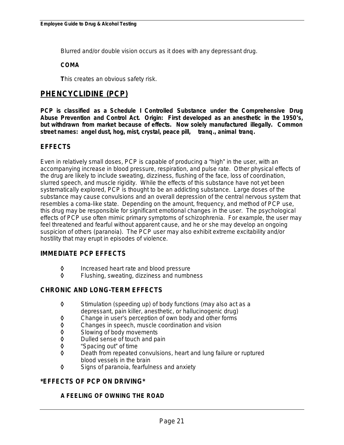Blurred and/or double vision occurs as it does with any depressant drug.

### **COMA**

**T**his creates an obvious safety risk.

# **PHENCYCLIDINE (PCP)**

**PCP is classified as a Schedule I Controlled Substance under the Comprehensive Drug Abuse Prevention and Control Act. Origin: First developed as an anesthetic in the 1950**'**s, but withdrawn from market because of effects. Now solely manufactured illegally. Common street names: angel dust, hog, mist, crystal, peace pill, tranq., animal tranq.**

### **EFFECTS**

Even in relatively small doses, PCP is capable of producing a "high" in the user, with an accompanying increase in blood pressure, respiration, and pulse rate. Other physical effects of the drug are likely to include sweating, dizziness, flushing of the face, loss of coordination, slurred speech, and muscle rigidity. While the effects of this substance have not yet been systematically explored, PCP is thought to be an addicting substance. Large doses of the substance may cause convulsions and an overall depression of the central nervous system that resembles a coma-like state. Depending on the amount, frequency, and method of PCP use, this drug may be responsible for significant emotional changes in the user. The psychological effects of PCP use often mimic primary symptoms of schizophrenia. For example, the user may feel threatened and fearful without apparent cause, and he or she may develop an ongoing suspicion of others (paranoia). The PCP user may also exhibit extreme excitability and/or hostility that may erupt in episodes of violence.

### **IMMEDIATE PCP EFFECTS**

- ◊ Increased heart rate and blood pressure
- Flushing, sweating, dizziness and numbness

### **CHRONIC AND LONG-TERM EFFECTS**

- ◊ Stimulation (speeding up) of body functions (may also act as a depressant, pain killer, anesthetic, or hallucinogenic drug)
- ◊ Change in user's perception of own body and other forms
- ◊ Changes in speech, muscle coordination and vision
- Slowing of body movements
- ◊ Dulled sense of touch and pain
- "Spacing out" of time
- ◊ Death from repeated convulsions, heart and lung failure or ruptured blood vessels in the brain
- ◊ Signs of paranoia, fearfulness and anxiety

### **\*EFFECTS OF PCP ON DRIVING\***

### **A FEELING OF OWNING THE ROAD**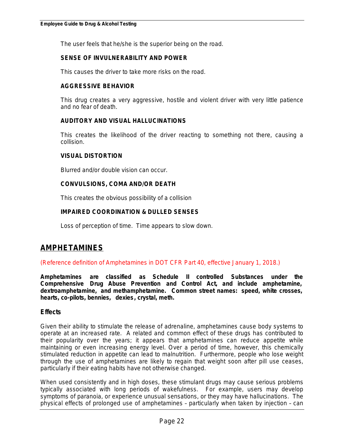The user feels that he/she is the superior being on the road.

### **SENSE OF INVULNERABILITY AND POWER**

This causes the driver to take more risks on the road.

#### **AGGRESSIVE BEHAVIOR**

This drug creates a very aggressive, hostile and violent driver with very little patience and no fear of death.

### **AUDITORY AND VISUAL HALLUCINATIONS**

This creates the likelihood of the driver reacting to something not there, causing a collision.

#### **VISUAL DISTORTION**

Blurred and/or double vision can occur.

### **CONVULSIONS, COMA AND/OR DEATH**

This creates the obvious possibility of a collision

### **IMPAIRED COORDINATION & DULLED SENSES**

Loss of perception of time. Time appears to slow down.

# **AMPHETAMINES**

*(Reference definition of Amphetamines in DOT CFR Part 40, effective January 1, 2018.)*

**Amphetamines are classified as Schedule II controlled Substances under the Comprehensive Drug Abuse Prevention and Control Act, and include amphetamine, dextroamphetamine, and methamphetamine. Common street names: speed, white crosses, hearts, co-pilots, bennies, dexies, crystal, meth.**

### **Effects**

Given their ability to stimulate the release of adrenaline, amphetamines cause body systems to operate at an increased rate. A related and common effect of these drugs has contributed to their popularity over the years; it appears that amphetamines can reduce appetite while maintaining or even increasing energy level. Over a period of time, however, this chemically stimulated reduction in appetite can lead to malnutrition. Furthermore, people who lose weight through the use of amphetamines are likely to regain that weight soon after pill use ceases, particularly if their eating habits have not otherwise changed.

When used consistently and in high doses, these stimulant drugs may cause serious problems typically associated with long periods of wakefulness. For example, users may develop symptoms of paranoia, or experience unusual sensations, or they may have hallucinations. The physical effects of prolonged use of amphetamines – particularly when taken by injection – can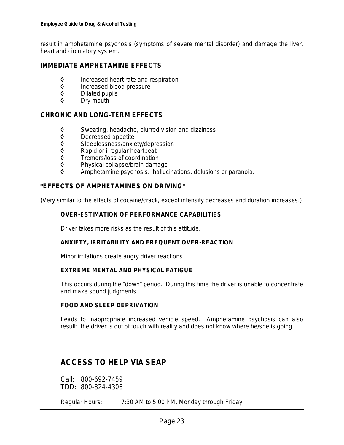result in amphetamine psychosis (symptoms of severe mental disorder) and damage the liver, heart and circulatory system.

### **IMMEDIATE AMPHETAMINE EFFECTS**

- ◊ Increased heart rate and respiration
- Increased blood pressure
- **◊** Dilated pupils<br>◊ Dry mouth
- Dry mouth

### **CHRONIC AND LONG-TERM EFFECTS**

- ◊ Sweating, headache, blurred vision and dizziness
- ◊ Decreased appetite
- Sleeplessness/anxiety/depression
- 
- ◊ Rapid or irregular heartbeat
- ◊ Tremors/loss of coordination Physical collapse/brain damage
- ◊ Amphetamine psychosis: hallucinations, delusions or paranoia.

### **\*EFFECTS OF AMPHETAMINES ON DRIVING\***

(Very similar to the effects of cocaine/crack, except intensity decreases and duration increases.)

### **OVER-ESTIMATION OF PERFORMANCE CAPABILITIES**

Driver takes more risks as the result of this attitude.

### **ANXIETY, IRRITABILITY AND FREQUENT OVER-REACTION**

Minor irritations create angry driver reactions.

### **EXTREME MENTAL AND PHYSICAL FATIGUE**

This occurs during the "down" period. During this time the driver is unable to concentrate and make sound judgments.

#### **FOOD AND SLEEP DEPRIVATION**

Leads to inappropriate increased vehicle speed. Amphetamine psychosis can also result: the driver is out of touch with reality and does not know where he/she is going.

# **ACCESS TO HELP VIA SEAP**

Call: 800-692-7459 TDD: 800-824-4306

Regular Hours: 7:30 AM to 5:00 PM, Monday through Friday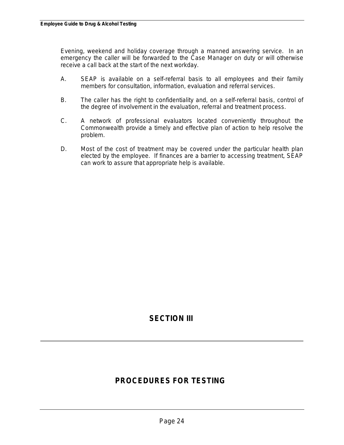Evening, weekend and holiday coverage through a manned answering service. In an emergency the caller will be forwarded to the Case Manager on duty or will otherwise receive a call back at the start of the next workday.

- A. SEAP is available on a self-referral basis to all employees and their family members for consultation, information, evaluation and referral services.
- B. The caller has the right to confidentiality and, on a self-referral basis, control of the degree of involvement in the evaluation, referral and treatment process.
- C. A network of professional evaluators located conveniently throughout the Commonwealth provide a timely and effective plan of action to help resolve the problem.
- D. Most of the cost of treatment may be covered under the particular health plan elected by the employee. If finances are a barrier to accessing treatment, SEAP can work to assure that appropriate help is available.

# **SECTION III**

# **PROCEDURES FOR TESTING**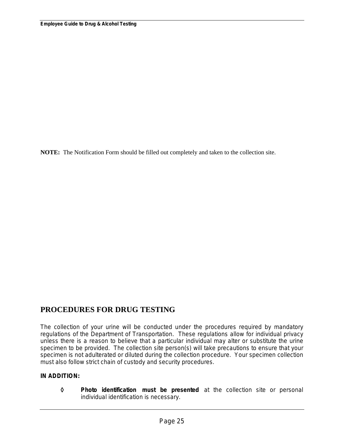**NOTE:** The Notification Form should be filled out completely and taken to the collection site.

# **PROCEDURES FOR DRUG TESTING**

The collection of your urine will be conducted under the procedures required by mandatory regulations of the Department of Transportation. These regulations allow for individual privacy unless there is a reason to believe that a particular individual may alter or substitute the urine specimen to be provided. The collection site person(s) will take precautions to ensure that your specimen is not adulterated or diluted during the collection procedure. Your specimen collection must also follow strict chain of custody and security procedures.

### **IN ADDITION:**

◊ **Photo identification must be presented** at the collection site or personal individual identification is necessary.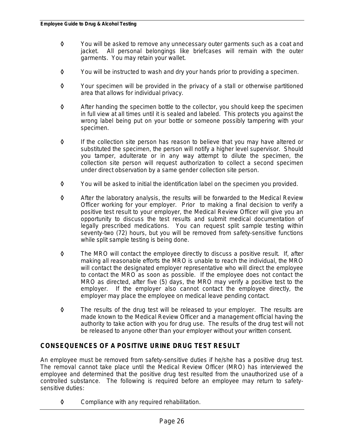- ◊ You will be asked to remove any unnecessary outer garments such as a coat and jacket. All personal belongings like briefcases will remain with the outer garments. You may retain your wallet.
- ◊ You will be instructed to wash and dry your hands prior to providing a specimen.
- ◊ Your specimen will be provided in the privacy of a stall or otherwise partitioned area that allows for individual privacy.
- ◊ After handing the specimen bottle to the collector, you should keep the specimen in full view at all times until it is sealed and labeled. This protects you against the wrong label being put on your bottle or someone possibly tampering with your specimen.
- ◊ If the collection site person has reason to believe that you may have altered or substituted the specimen, the person will notify a higher level supervisor. Should you tamper, adulterate or in any way attempt to dilute the specimen, the collection site person will request authorization to collect a second specimen under direct observation by a same gender collection site person.
- ◊ You will be asked to initial the identification label on the specimen you provided.
- ◊ After the laboratory analysis, the results will be forwarded to the Medical Review Officer working for your employer. Prior to making a final decision to verify a positive test result to your employer, the Medical Review Officer will give you an opportunity to discuss the test results and submit medical documentation of legally prescribed medications. You can request split sample testing within seventy-two (72) hours, but you will be removed from safety-sensitive functions while split sample testing is being done.
- ◊ The MRO will contact the employee directly to discuss a positive result. If, after making all reasonable efforts the MRO is unable to reach the individual, the MRO will contact the designated employer representative who will direct the employee to contact the MRO as soon as possible. If the employee does not contact the MRO as directed, after five (5) days, the MRO may verify a positive test to the employer. If the employer also cannot contact the employee directly, the employer may place the employee on medical leave pending contact.
- ◊ The results of the drug test will be released to your employer. The results are made known to the Medical Review Officer and a management official having the authority to take action with you for drug use. The results of the drug test will not be released to anyone other than your employer without your written consent.

### **CONSEQUENCES OF A POSITIVE URINE DRUG TEST RESULT**

An employee must be removed from safety-sensitive duties if he/she has a positive drug test. The removal cannot take place until the Medical Review Officer (MRO) has interviewed the employee and determined that the positive drug test resulted from the unauthorized use of a controlled substance. The following is required before an employee may return to safetysensitive duties:

◊ Compliance with any required rehabilitation.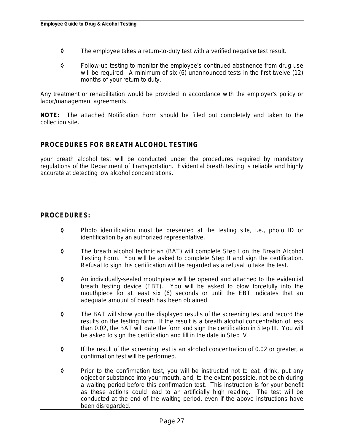- ◊ The employee takes a return-to-duty test with a verified negative test result.
- ◊ Follow-up testing to monitor the employee's continued abstinence from drug use will be required. A minimum of six (6) unannounced tests in the first twelve (12) months of your return to duty.

Any treatment or rehabilitation would be provided in accordance with the employer's policy or labor/management agreements.

**NOTE:** The attached Notification Form should be filled out completely and taken to the collection site.

### **PROCEDURES FOR BREATH ALCOHOL TESTING**

your breath alcohol test will be conducted under the procedures required by mandatory regulations of the Department of Transportation. Evidential breath testing is reliable and highly accurate at detecting low alcohol concentrations.

### **PROCEDURES:**

- ◊ Photo identification must be presented at the testing site, i.e., photo ID or identification by an authorized representative.
- ◊ The breath alcohol technician (BAT) will complete Step I on the Breath Alcohol Testing Form. You will be asked to complete Step II and sign the certification. Refusal to sign this certification will be regarded as a refusal to take the test.
- ◊ An individually-sealed mouthpiece will be opened and attached to the evidential breath testing device (EBT). You will be asked to blow forcefully into the mouthpiece for at least six (6) seconds or until the EBT indicates that an adequate amount of breath has been obtained.
- ◊ The BAT will show you the displayed results of the screening test and record the results on the testing form. If the result is a breath alcohol concentration of less than 0.02, the BAT will date the form and sign the certification in Step III. You will be asked to sign the certification and fill in the date in Step IV.
- ◊ If the result of the screening test is an alcohol concentration of 0.02 or greater, a confirmation test will be performed.
- ◊ Prior to the confirmation test, you will be instructed not to eat, drink, put any object or substance into your mouth, and, to the extent possible, not belch during a waiting period before this confirmation test. This instruction is for your benefit as these actions could lead to an artificially high reading. The test will be conducted at the end of the waiting period, even if the above instructions have been disregarded.